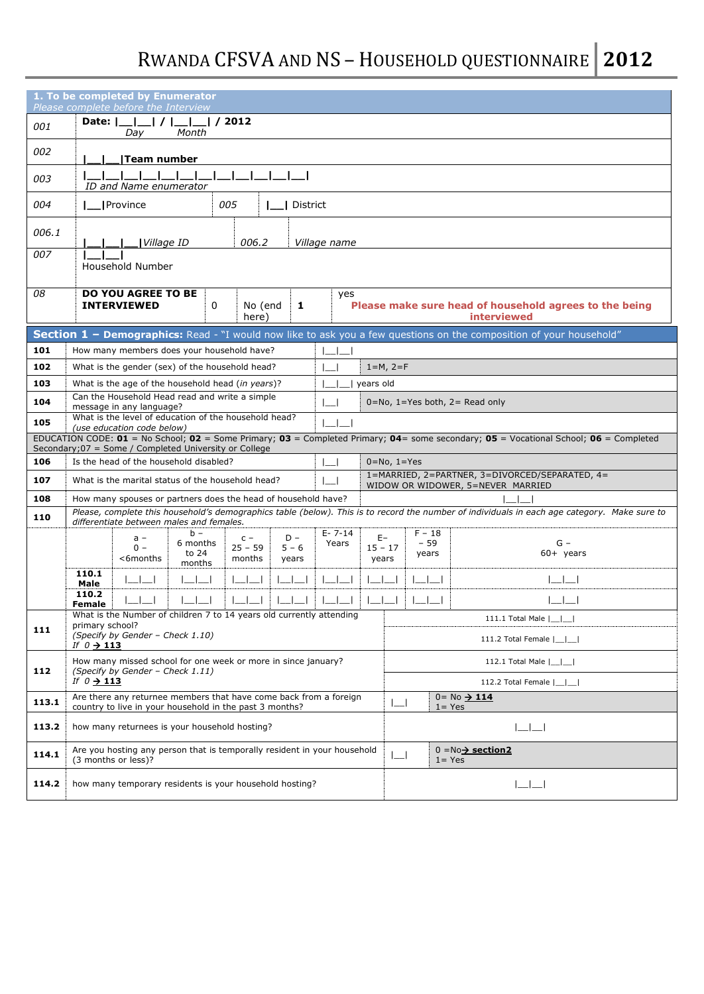# RWANDA CFSVA AND NS – HOUSEHOLD QUESTIONNAIRE **2012**

|            | 1. To be completed by Enumerator<br>Please complete before the Interview                                                                                                                                      |                                                                              |
|------------|---------------------------------------------------------------------------------------------------------------------------------------------------------------------------------------------------------------|------------------------------------------------------------------------------|
| 001        | $1/1$ 1/2012<br>Date:    <br>Month<br>Day                                                                                                                                                                     |                                                                              |
| 002        | <b>Team number</b>                                                                                                                                                                                            |                                                                              |
| 003        | ID and Name enumerator                                                                                                                                                                                        |                                                                              |
| 004        | 005<br><b>I</b> Province<br>District                                                                                                                                                                          |                                                                              |
| 006.1      | 006.2<br>Village ID<br>Village name                                                                                                                                                                           |                                                                              |
| 007        | Household Number                                                                                                                                                                                              |                                                                              |
| 08         | <b>DO YOU AGREE TO BE</b><br>yes<br><b>INTERVIEWED</b><br>$\mathbf{0}$<br>1<br>No (end<br>here)                                                                                                               | Please make sure head of household agrees to the being<br><b>interviewed</b> |
|            | Section 1 - Demographics: Read - "I would now like to ask you a few questions on the composition of your household"                                                                                           |                                                                              |
| 101        | How many members does your household have?                                                                                                                                                                    |                                                                              |
| 102<br>103 | What is the gender (sex) of the household head?<br>$\overline{\phantom{0}}$<br>$\blacksquare$                                                                                                                 | $1 = M, 2 = F$                                                               |
| 104        | What is the age of the household head (in years)?<br>  years old<br>Can the Household Head read and write a simple<br>$\overline{\phantom{0}}$                                                                |                                                                              |
|            | message in any language?<br>What is the level of education of the household head?                                                                                                                             | $0 = No$ , $1 = Yes$ both, $2 = Read$ only                                   |
| 105        | (use education code below)<br>EDUCATION CODE: 01 = No School; 02 = Some Primary; 03 = Completed Primary; 04= some secondary; 05 = Vocational School; 06 = Completed                                           |                                                                              |
|            | Secondary; 07 = Some / Completed University or College                                                                                                                                                        |                                                                              |
| 106        | Is the head of the household disabled?<br>$\overline{\phantom{a}}$                                                                                                                                            | $0 = No, 1 = Yes$<br>1=MARRIED, 2=PARTNER, 3=DIVORCED/SEPARATED, 4=          |
| 107        | What is the marital status of the household head?<br>$\mathbf{I}$                                                                                                                                             | WIDOW OR WIDOWER, 5=NEVER MARRIED                                            |
| 108        | How many spouses or partners does the head of household have?<br>Please, complete this household's demographics table (below). This is to record the number of individuals in each age category. Make sure to |                                                                              |
| 110        | differentiate between males and females.<br>$b -$<br>$E - 7 - 14$                                                                                                                                             | $F - 18$                                                                     |
|            | $D -$<br>$C -$<br>$a -$<br>6 months<br>Years<br>$0 -$<br>$25 - 59$<br>$5 - 6$<br>to 24                                                                                                                        | $E-$<br>$-59$<br>$G -$<br>$15 - 17$<br>$60+$ years                           |
|            | <6months<br>months<br>years<br>months                                                                                                                                                                         | years<br>years                                                               |
|            | 110.1<br>Male                                                                                                                                                                                                 | $   \overline{ }$                                                            |
|            | 110.2<br>Female                                                                                                                                                                                               |                                                                              |
| 111        | What is the Number of children 7 to 14 years old currently attending<br>primary school?                                                                                                                       | 111.1 Total Male  _ _                                                        |
|            | (Specify by Gender - Check 1.10)<br>If $0 \rightarrow 113$                                                                                                                                                    | 111.2 Total Female  __ _                                                     |
| 112        | How many missed school for one week or more in since january?<br>(Specify by Gender - Check 1.11)                                                                                                             | 112.1 Total Male                                                             |
|            | If $0 \rightarrow 113$                                                                                                                                                                                        | 112.2 Total Female                                                           |
| 113.1      | Are there any returnee members that have come back from a foreign<br>country to live in your household in the past 3 months?                                                                                  | $0 = No \rightarrow 114$<br>$1 = Yes$                                        |
| 113.2      | how many returnees is your household hosting?                                                                                                                                                                 | اكاكا                                                                        |
| 114.1      | Are you hosting any person that is temporally resident in your household<br>(3 months or less)?                                                                                                               | $0 = No \rightarrow section 2$<br>$\lfloor - \rfloor$<br>$1 = Yes$           |
| 114.2      | how many temporary residents is your household hosting?                                                                                                                                                       | $\begin{array}{c} \boxed{-} \end{array}$                                     |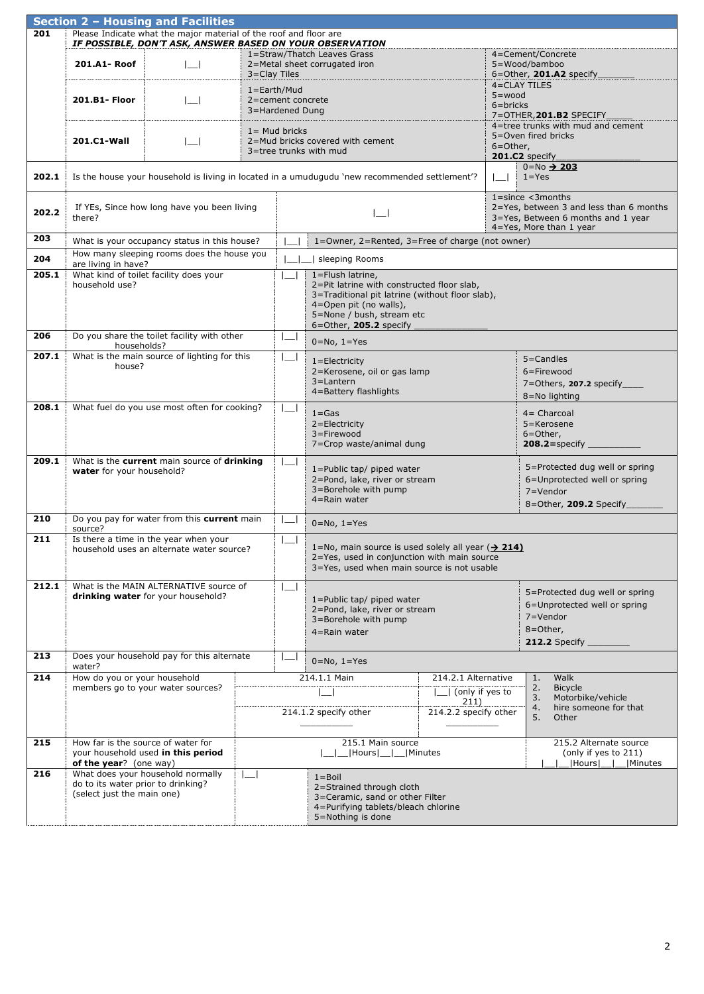|                  |                                                                  | Section 2 - Housing and Facilities                                                 |                 |                                      |                                                                                                                                                                                                    |                                                  |                            |                                                                                                                           |
|------------------|------------------------------------------------------------------|------------------------------------------------------------------------------------|-----------------|--------------------------------------|----------------------------------------------------------------------------------------------------------------------------------------------------------------------------------------------------|--------------------------------------------------|----------------------------|---------------------------------------------------------------------------------------------------------------------------|
| 201              |                                                                  | Please Indicate what the major material of the roof and floor are                  |                 |                                      |                                                                                                                                                                                                    |                                                  |                            |                                                                                                                           |
|                  |                                                                  | IF POSSIBLE, DON'T ASK, ANSWER BASED ON YOUR OBSERVATION                           |                 |                                      |                                                                                                                                                                                                    |                                                  |                            |                                                                                                                           |
|                  | 201.A1-Roof                                                      | LН                                                                                 | 3=Clay Tiles    |                                      | 1=Straw/Thatch Leaves Grass<br>2=Metal sheet corrugated iron                                                                                                                                       |                                                  |                            | 4=Cement/Concrete<br>5=Wood/bamboo<br>6=Other, 201.A2 specify                                                             |
|                  | 201.B1- Floor                                                    | LН                                                                                 | $1 = Earth/Mud$ | 2=cement concrete<br>3=Hardened Dung |                                                                                                                                                                                                    |                                                  | $5 = wood$<br>$6 =$ bricks | 4=CLAY TILES<br>7=OTHER, 201.B2 SPECIFY                                                                                   |
|                  | 201.C1-Wall                                                      | $\mathbf{I}$                                                                       |                 | $1 =$ Mud bricks                     | 2=Mud bricks covered with cement<br>3=tree trunks with mud                                                                                                                                         |                                                  | 6=Other,                   | 4=tree trunks with mud and cement<br>5=Oven fired bricks<br>201.C2 specify                                                |
| 202.1            |                                                                  |                                                                                    |                 |                                      | Is the house your household is living in located in a umudugudu 'new recommended settlement'?                                                                                                      |                                                  | $\Box$                     | $0 = No \rightarrow 203$<br>$1 = Yes$                                                                                     |
| 202.2            | there?                                                           | If YEs, Since how long have you been living                                        |                 |                                      |                                                                                                                                                                                                    |                                                  |                            | $1 = since \leq 3 months2=Yes, between 3 and less than 6 months3=Yes, Between 6 months and 1 year4=Yes, More than 1 year$ |
| 203              |                                                                  | What is your occupancy status in this house?                                       |                 |                                      | 1=Owner, 2=Rented, 3=Free of charge (not owner)                                                                                                                                                    |                                                  |                            |                                                                                                                           |
| 204              | are living in have?                                              | How many sleeping rooms does the house you                                         |                 |                                      | Sleeping Rooms                                                                                                                                                                                     |                                                  |                            |                                                                                                                           |
| 205.1            | household use?                                                   | What kind of toilet facility does your                                             |                 |                                      | 1=Flush latrine,<br>2=Pit latrine with constructed floor slab,<br>3=Traditional pit latrine (without floor slab),<br>4=Open pit (no walls),<br>5=None / bush, stream etc<br>6=Other, 205.2 specify |                                                  |                            |                                                                                                                           |
| 206              | households?                                                      | Do you share the toilet facility with other                                        |                 | $\overline{\phantom{a}}$             | $0 = No, 1 = Yes$                                                                                                                                                                                  |                                                  |                            |                                                                                                                           |
| 207.1            | house?                                                           | What is the main source of lighting for this                                       |                 |                                      | $1 =$ Electricity<br>2=Kerosene, oil or gas lamp<br>3=Lantern<br>4=Battery flashlights                                                                                                             |                                                  |                            | $5 =$ Candles<br>6=Firewood<br>7=Others, 207.2 specify_<br>8=No lighting                                                  |
| 208.1            |                                                                  | What fuel do you use most often for cooking?                                       |                 |                                      | $1 = Gas$<br>2=Electricity<br>3=Firewood<br>7=Crop waste/animal dung                                                                                                                               |                                                  |                            | $4 =$ Charcoal<br>5=Kerosene<br>$6 =$ Other,                                                                              |
| 209.1            | water for your household?                                        | What is the current main source of drinking                                        |                 |                                      | 1=Public tap/ piped water<br>2=Pond, lake, river or stream<br>3=Borehole with pump<br>$4 =$ Rain water                                                                                             |                                                  |                            | 5=Protected dug well or spring<br>6=Unprotected well or spring<br>7=Vendor<br>8=Other, 209.2 Specify                      |
| 210              | source?                                                          | Do you pay for water from this current main                                        |                 |                                      | $0 = No, 1 = Yes$                                                                                                                                                                                  |                                                  |                            |                                                                                                                           |
| 211              |                                                                  | Is there a time in the year when your<br>household uses an alternate water source? |                 | $\sqcup$                             | 1=No, main source is used solely all year $(\rightarrow 214)$<br>2=Yes, used in conjunction with main source<br>3=Yes, used when main source is not usable                                         |                                                  |                            |                                                                                                                           |
| 212.1            |                                                                  | What is the MAIN ALTERNATIVE source of<br>drinking water for your household?       |                 |                                      | 1=Public tap/ piped water<br>2=Pond, lake, river or stream<br>3=Borehole with pump<br>4=Rain water                                                                                                 |                                                  |                            | 5=Protected dug well or spring<br>6=Unprotected well or spring<br>7=Vendor<br>8=Other,<br>212.2 Specify $\_$              |
| 213              | water?                                                           | Does your household pay for this alternate                                         |                 |                                      | $0 = No, 1 = Yes$                                                                                                                                                                                  |                                                  |                            |                                                                                                                           |
| $\overline{214}$ | How do you or your household                                     |                                                                                    |                 |                                      | 214.1.1 Main                                                                                                                                                                                       | 214.2.1 Alternative                              |                            | Walk<br>1.                                                                                                                |
|                  |                                                                  | members go to your water sources?                                                  |                 |                                      | 214.1.2 specify other                                                                                                                                                                              | (only if yes to<br>211)<br>214.2.2 specify other |                            | 2.<br><b>Bicycle</b><br>3.<br>Motorbike/vehicle<br>hire someone for that<br>4.<br>5.<br>Other                             |
| 215              | How far is the source of water for<br>of the year? (one way)     | your household used in this period                                                 |                 |                                      | 215.1 Main source<br> Hours __ __ Minutes                                                                                                                                                          |                                                  |                            | 215.2 Alternate source<br>(only if yes to 211)<br> Hours   <br>Minutes_                                                   |
| 216              | do to its water prior to drinking?<br>(select just the main one) | What does your household normally                                                  | L.              |                                      | $1 = Boil$<br>2=Strained through cloth<br>3=Ceramic, sand or other Filter<br>4=Purifying tablets/bleach chlorine<br>5=Nothing is done                                                              |                                                  |                            |                                                                                                                           |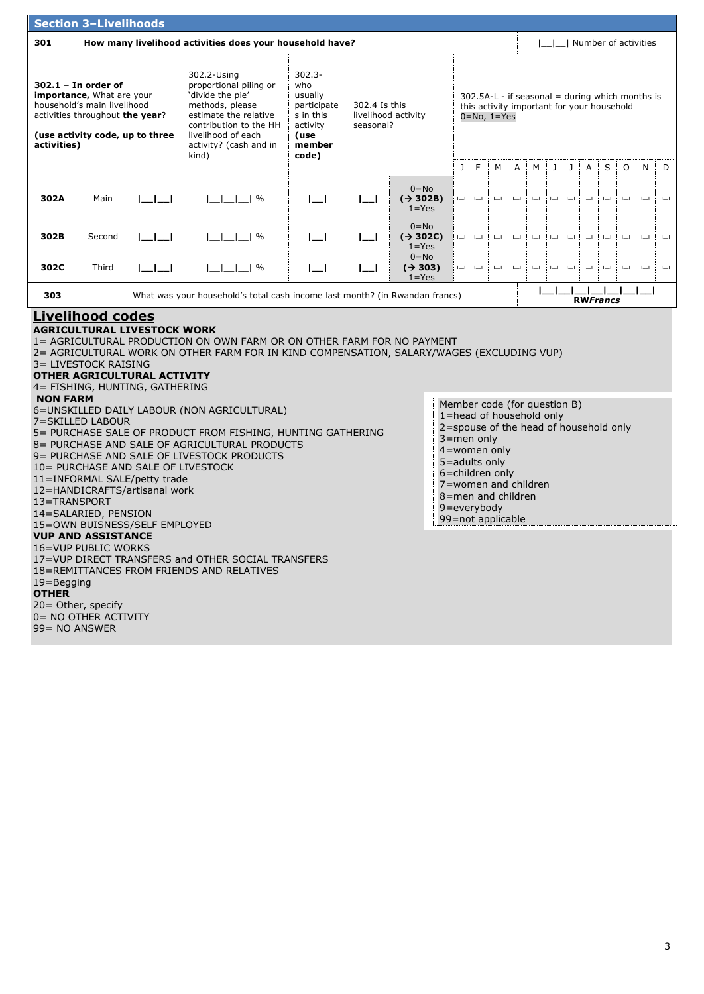|                                                                                                                                                                                                                                                                                                                                                                                                                                                                                                                                                                                                                                                                                                                                 | <b>Section 3-Livelihoods</b>                                                                                                                            |                                    |                                                                                                                                                                                          |                                                                                                |                            |                                               |                                                                                                                      |          |              |              |              |                         |               |                 |         |              |                        |              |
|---------------------------------------------------------------------------------------------------------------------------------------------------------------------------------------------------------------------------------------------------------------------------------------------------------------------------------------------------------------------------------------------------------------------------------------------------------------------------------------------------------------------------------------------------------------------------------------------------------------------------------------------------------------------------------------------------------------------------------|---------------------------------------------------------------------------------------------------------------------------------------------------------|------------------------------------|------------------------------------------------------------------------------------------------------------------------------------------------------------------------------------------|------------------------------------------------------------------------------------------------|----------------------------|-----------------------------------------------|----------------------------------------------------------------------------------------------------------------------|----------|--------------|--------------|--------------|-------------------------|---------------|-----------------|---------|--------------|------------------------|--------------|
| 301                                                                                                                                                                                                                                                                                                                                                                                                                                                                                                                                                                                                                                                                                                                             |                                                                                                                                                         |                                    | How many livelihood activities does your household have?                                                                                                                                 |                                                                                                |                            |                                               |                                                                                                                      |          |              |              |              |                         |               |                 |         |              | I Number of activities |              |
| activities)                                                                                                                                                                                                                                                                                                                                                                                                                                                                                                                                                                                                                                                                                                                     | $302.1 - In order of$<br>importance, What are your<br>household's main livelihood<br>activities throughout the year?<br>(use activity code, up to three |                                    | 302.2-Using<br>proportional piling or<br>'divide the pie'<br>methods, please<br>estimate the relative<br>contribution to the HH<br>livelihood of each<br>activity? (cash and in<br>kind) | $302.3 -$<br>who<br>usually<br>participate<br>s in this<br>activity<br>(use<br>member<br>code) | 302.4 Is this<br>seasonal? | livelihood activity                           | $302.5A-L - if$ seasonal = during which months is<br>this activity important for your household<br>$0 = No, 1 = Yes$ |          |              |              |              |                         |               |                 |         |              |                        |              |
|                                                                                                                                                                                                                                                                                                                                                                                                                                                                                                                                                                                                                                                                                                                                 |                                                                                                                                                         |                                    |                                                                                                                                                                                          |                                                                                                |                            |                                               | J                                                                                                                    | F        | М            | Α            | М            | J                       | J             | Α               | S       | 0            | N                      | D            |
| 302A                                                                                                                                                                                                                                                                                                                                                                                                                                                                                                                                                                                                                                                                                                                            | Main                                                                                                                                                    | $L_{\perp}$                        | $ $ $ $ $ $ $ $ $ $ $ $ $\%$                                                                                                                                                             | $\Box$                                                                                         | $I = I$                    | $0 = No$<br>$(\rightarrow$ 302B)<br>$1 = Yes$ | Щ.                                                                                                                   | $\sqcup$ | $I = I$      | $\Box$       | $\mathbf{l}$ | $\mathsf{l} \mathsf{l}$ | $L_{-}$       | $\mathbf{l}$    | $I = I$ | $I = I$      | $\mathbf{l}$           | $\Box$       |
| 302B                                                                                                                                                                                                                                                                                                                                                                                                                                                                                                                                                                                                                                                                                                                            | Second                                                                                                                                                  | $L_{\perp}$                        | $ $ <sub>--</sub> $ $ <sub>--</sub> $ $ <sup>-%</sup>                                                                                                                                    | $I = I$                                                                                        | $\lfloor - \rfloor$        | $0 = No$<br>$(\rightarrow 302C)$<br>$1 = Yes$ | $L = 1$                                                                                                              | $L = L$  | $L_{-}$      | $\mathbf{l}$ | $\mathbf{l}$ | $L = L$                 | $\mathbf{L}$  | $\mathbf{l}$    | $L_{-}$ | $L = L$      | $\mathbf{l}$           | $\mathbf{l}$ |
| 302C                                                                                                                                                                                                                                                                                                                                                                                                                                                                                                                                                                                                                                                                                                                            | Third                                                                                                                                                   | اكاكا                              | $ $ $ $ $ $ $ $ $ $ $ $ $\%$                                                                                                                                                             | $\lfloor -1 \rfloor$                                                                           | $\lfloor - \rfloor$        | $0 = No$<br>$(\rightarrow 303)$<br>$1 = Yes$  | ШŢ                                                                                                                   | $L = L$  | $\mathbf{L}$ | $\mathbf{l}$ | $\mathbf{l}$ | $\mathbf{l}$            | $L_{\rm mol}$ | $\mathbf{l}$    | $L_{-}$ | $\mathbf{l}$ | $\mathbf{l}$           | $\mathbf{l}$ |
| 303                                                                                                                                                                                                                                                                                                                                                                                                                                                                                                                                                                                                                                                                                                                             |                                                                                                                                                         |                                    | What was your household's total cash income last month? (in Rwandan francs)                                                                                                              |                                                                                                |                            |                                               |                                                                                                                      |          |              |              |              |                         |               | <b>RWFrancs</b> |         |              |                        |              |
|                                                                                                                                                                                                                                                                                                                                                                                                                                                                                                                                                                                                                                                                                                                                 | <b>Livelihood codes</b><br>3= LIVESTOCK RAISING                                                                                                         | <b>AGRICULTURAL LIVESTOCK WORK</b> | 1= AGRICULTURAL PRODUCTION ON OWN FARM OR ON OTHER FARM FOR NO PAYMENT<br>2= AGRICULTURAL WORK ON OTHER FARM FOR IN KIND COMPENSATION, SALARY/WAGES (EXCLUDING VUP)                      |                                                                                                |                            |                                               |                                                                                                                      |          |              |              |              |                         |               |                 |         |              |                        |              |
| OTHER AGRICULTURAL ACTIVITY<br>4= FISHING, HUNTING, GATHERING<br><b>NON FARM</b><br>Member code (for question B)<br>6=UNSKILLED DAILY LABOUR (NON AGRICULTURAL)<br>1=head of household only<br>7=SKILLED LABOUR<br>2=spouse of the head of household only<br>5= PURCHASE SALE OF PRODUCT FROM FISHING, HUNTING GATHERING<br>3=men only<br>8 = PURCHASE AND SALE OF AGRICULTURAL PRODUCTS<br>$4 =$ women only<br>9= PURCHASE AND SALE OF LIVESTOCK PRODUCTS<br>5=adults only<br>10= PURCHASE AND SALE OF LIVESTOCK<br>6=children only<br>11=INFORMAL SALE/petty trade<br>7=women and children<br>12=HANDICRAFTS/artisanal work<br>8=men and children<br>13=TRANSPORT<br>9=everybody<br>14=SALARIED, PENSION<br>99=not applicable |                                                                                                                                                         |                                    |                                                                                                                                                                                          |                                                                                                |                            |                                               |                                                                                                                      |          |              |              |              |                         |               |                 |         |              |                        |              |
| $19 =$ Begging<br><b>OTHER</b><br>99= NO ANSWER                                                                                                                                                                                                                                                                                                                                                                                                                                                                                                                                                                                                                                                                                 | <b>VUP AND ASSISTANCE</b><br>16=VUP PUBLIC WORKS<br>20= Other, specify<br>0 = NO OTHER ACTIVITY                                                         |                                    | 17=VUP DIRECT TRANSFERS and OTHER SOCIAL TRANSFERS<br>18=REMITTANCES FROM FRIENDS AND RELATIVES                                                                                          |                                                                                                |                            |                                               |                                                                                                                      |          |              |              |              |                         |               |                 |         |              |                        |              |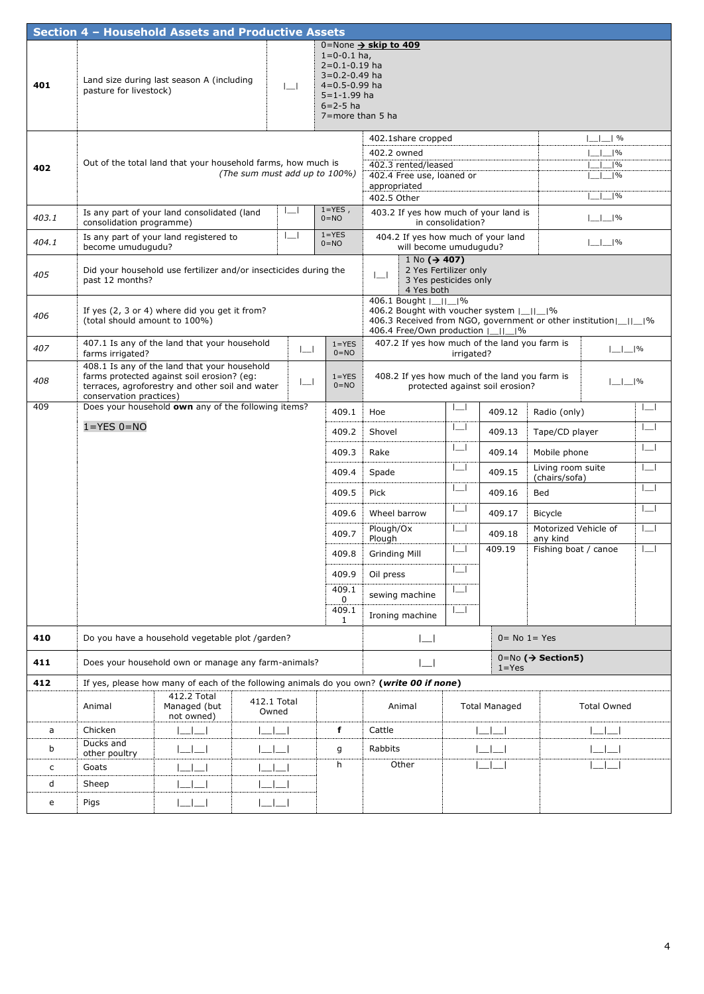|       |                               | Section 4 - Household Assets and Productive Assets                                                                                            |                               |                     |                                                                                                                                         |                                                                                                             |                          |                      |                                                                    |                          |  |
|-------|-------------------------------|-----------------------------------------------------------------------------------------------------------------------------------------------|-------------------------------|---------------------|-----------------------------------------------------------------------------------------------------------------------------------------|-------------------------------------------------------------------------------------------------------------|--------------------------|----------------------|--------------------------------------------------------------------|--------------------------|--|
| 401   | pasture for livestock)        | Land size during last season A (including                                                                                                     | $\sim$                        |                     | $1 = 0 - 0.1$ ha,<br>$2=0.1-0.19$ ha<br>3=0.2-0.49 ha<br>$4 = 0.5 - 0.99$ ha<br>$5 = 1 - 1.99$ ha<br>$6 = 2 - 5$ ha<br>7=more than 5 ha | 0=None $\rightarrow$ skip to 409                                                                            |                          |                      |                                                                    |                          |  |
|       |                               |                                                                                                                                               |                               |                     |                                                                                                                                         | 402.1share cropped                                                                                          |                          |                      | $L$ $\sim$ $\sim$                                                  |                          |  |
| 402   |                               | Out of the total land that your household farms, how much is                                                                                  | (The sum must add up to 100%) |                     |                                                                                                                                         | 402.2 owned<br>402.3 rented/leased<br>402.4 Free use, loaned or<br>appropriated                             |                          |                      | $ $ <sub>--</sub> $ $ -- $ $ %<br>$ $ $ $ $ $ $ $ $\%$<br>$1\%$    |                          |  |
|       |                               |                                                                                                                                               |                               |                     |                                                                                                                                         | 402.5 Other                                                                                                 |                          |                      | $ ^{0}/_{0}$                                                       |                          |  |
| 403.1 | consolidation programme)      | Is any part of your land consolidated (land                                                                                                   |                               |                     | $1 = YES$ ,<br>$0 = NO$                                                                                                                 | 403.2 If yes how much of your land is                                                                       | in consolidation?        |                      | $ $ - $ $ - $ $ %                                                  |                          |  |
| 404.1 | become umudugudu?             | Is any part of your land registered to                                                                                                        |                               |                     | $1 = YES$<br>$0 = NO$                                                                                                                   | 404.2 If yes how much of your land<br>will become umudugudu?                                                |                          |                      | $ $ - $ $ - $ $ %                                                  |                          |  |
| 405   | past 12 months?               | Did your household use fertilizer and/or insecticides during the                                                                              |                               |                     |                                                                                                                                         | $1 N_0 (\rightarrow 407)$<br>2 Yes Fertilizer only<br>$\lfloor$<br>4 Yes both<br>406.1 Bought  _  _ %       | 3 Yes pesticides only    |                      |                                                                    |                          |  |
| 406   | (total should amount to 100%) | If yes (2, 3 or 4) where did you get it from?                                                                                                 |                               |                     |                                                                                                                                         | 406.2 Bought with voucher system  _  _ %<br>406.4 Free/Own production       %                               |                          |                      | 406.3 Received from NGO, government or other institution [11, 196] |                          |  |
| 407   | farms irrigated?              | 407.1 Is any of the land that your household                                                                                                  |                               | $\lfloor - \rfloor$ | $1 = YES$<br>$0 = NO$                                                                                                                   | 407.2 If yes how much of the land you farm is                                                               | irrigated?               |                      |                                                                    | $ $ - $ $ - $ $ %        |  |
| 408   | conservation practices)       | 408.1 Is any of the land that your household<br>farms protected against soil erosion? (eg:<br>terraces, agroforestry and other soil and water |                               | $\lfloor - \rfloor$ | $1 = YES$<br>$0 = NO$                                                                                                                   | 408.2 If yes how much of the land you farm is<br>$ $ <sub>--</sub> $ $ %<br>protected against soil erosion? |                          |                      |                                                                    |                          |  |
| 409   |                               | Does your household own any of the following items?                                                                                           |                               |                     | 409.1                                                                                                                                   | Hoe                                                                                                         |                          | 409.12               | Radio (only)                                                       | $\overline{\phantom{a}}$ |  |
|       | $1 = YES 0 = NO$              |                                                                                                                                               |                               |                     | 409.2                                                                                                                                   | Shovel                                                                                                      | $\sqcup$                 | 409.13               | Tape/CD player                                                     |                          |  |
|       |                               |                                                                                                                                               |                               |                     | 409.3                                                                                                                                   | Rake                                                                                                        | $\overline{\phantom{a}}$ | 409.14               | Mobile phone                                                       | $\overline{\phantom{a}}$ |  |
|       |                               |                                                                                                                                               |                               |                     | 409.4                                                                                                                                   | Spade                                                                                                       | $\overline{\phantom{a}}$ | 409.15               | Living room suite                                                  |                          |  |
|       |                               |                                                                                                                                               |                               |                     | 409.5                                                                                                                                   | Pick                                                                                                        | $\overline{\phantom{a}}$ | 409.16               | (chairs/sofa)<br>Bed                                               | $\equiv$                 |  |
|       |                               |                                                                                                                                               |                               |                     | 409.6                                                                                                                                   | Wheel barrow                                                                                                | $\sqcup$                 | 409.17               | <b>Bicycle</b>                                                     |                          |  |
|       |                               |                                                                                                                                               |                               |                     | 409.7                                                                                                                                   | Plough/Ox<br>Plough                                                                                         | $\lfloor$                | 409.18               | Motorized Vehicle of<br>any kind                                   |                          |  |
|       |                               |                                                                                                                                               |                               |                     | 409.8                                                                                                                                   | <b>Grinding Mill</b>                                                                                        |                          | 409.19               | Fishing boat / canoe                                               |                          |  |
|       |                               |                                                                                                                                               |                               |                     | 409.9                                                                                                                                   | Oil press                                                                                                   | └─                       |                      |                                                                    |                          |  |
|       |                               |                                                                                                                                               |                               |                     | 409.1<br>0                                                                                                                              | sewing machine                                                                                              | $\overline{\phantom{a}}$ |                      |                                                                    |                          |  |
|       |                               |                                                                                                                                               |                               |                     | 409.1<br>$\mathbf{1}$                                                                                                                   | Ironing machine                                                                                             | $\lfloor - \rfloor$      |                      |                                                                    |                          |  |
| 410   |                               | Do you have a household vegetable plot /garden?                                                                                               |                               |                     |                                                                                                                                         | $\Box$                                                                                                      |                          | $0 = No 1 = Yes$     |                                                                    |                          |  |
| 411   |                               | Does your household own or manage any farm-animals?                                                                                           |                               |                     |                                                                                                                                         |                                                                                                             |                          | $1 = Yes$            | $0 = No$ ( $\rightarrow$ Section5)                                 |                          |  |
| 412   |                               |                                                                                                                                               |                               |                     |                                                                                                                                         | If yes, please how many of each of the following animals do you own? (write 00 if none)                     |                          |                      |                                                                    |                          |  |
|       | Animal                        | 412.2 Total<br>Managed (but<br>not owned)                                                                                                     | 412.1 Total<br>Owned          |                     |                                                                                                                                         | Animal                                                                                                      |                          | <b>Total Managed</b> | <b>Total Owned</b>                                                 |                          |  |
| a     | Chicken                       | $\Box$                                                                                                                                        | ا ب ا ب                       |                     | f                                                                                                                                       | Cattle                                                                                                      |                          | $\Box$               |                                                                    |                          |  |
| b     | Ducks and<br>other poultry    |                                                                                                                                               | السال                         |                     | g                                                                                                                                       | Rabbits                                                                                                     |                          | $\Box$               |                                                                    |                          |  |
| c     | Goats                         |                                                                                                                                               |                               |                     | h                                                                                                                                       | Other                                                                                                       |                          |                      |                                                                    |                          |  |
| d     | Sheep                         |                                                                                                                                               |                               |                     |                                                                                                                                         |                                                                                                             |                          |                      |                                                                    |                          |  |
| e     | Pigs                          |                                                                                                                                               |                               |                     |                                                                                                                                         |                                                                                                             |                          |                      |                                                                    |                          |  |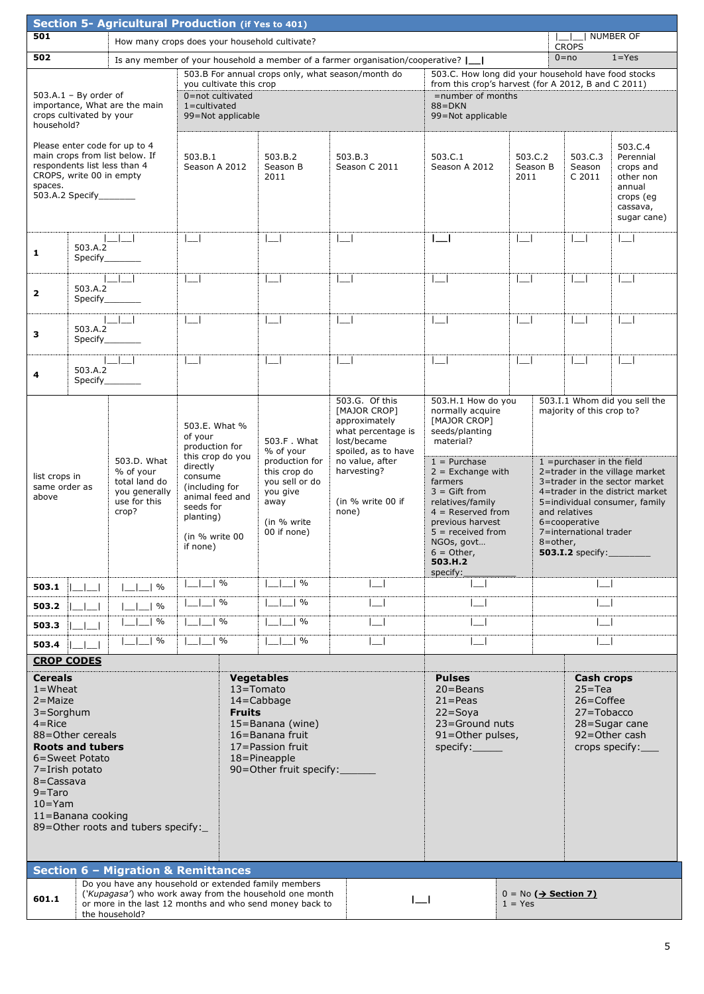|                                                                                                                           |                                                                                                                           | Section 5- Agricultural Production (if Yes to 401)                                                                                    |                                                                                              |                                                                                                                                                                                                                                                  |                                                                                                    |                                                                                                                                               |                                                                                                                                                                    |              |                                                                                                                                                                                                  |                                                                              |                               |  |
|---------------------------------------------------------------------------------------------------------------------------|---------------------------------------------------------------------------------------------------------------------------|---------------------------------------------------------------------------------------------------------------------------------------|----------------------------------------------------------------------------------------------|--------------------------------------------------------------------------------------------------------------------------------------------------------------------------------------------------------------------------------------------------|----------------------------------------------------------------------------------------------------|-----------------------------------------------------------------------------------------------------------------------------------------------|--------------------------------------------------------------------------------------------------------------------------------------------------------------------|--------------|--------------------------------------------------------------------------------------------------------------------------------------------------------------------------------------------------|------------------------------------------------------------------------------|-------------------------------|--|
| 501                                                                                                                       |                                                                                                                           | How many crops does your household cultivate?                                                                                         |                                                                                              |                                                                                                                                                                                                                                                  |                                                                                                    |                                                                                                                                               |                                                                                                                                                                    |              |                                                                                                                                                                                                  | <b>CROPS</b>                                                                 | NUMBER OF                     |  |
| 502                                                                                                                       |                                                                                                                           |                                                                                                                                       |                                                                                              |                                                                                                                                                                                                                                                  |                                                                                                    | Is any member of your household a member of a farmer organisation/cooperative? $\lfloor \_ \_ \rfloor$                                        |                                                                                                                                                                    |              |                                                                                                                                                                                                  | $0 = no$                                                                     | $1 = Yes$                     |  |
|                                                                                                                           | $503.A.1 - By order of$<br>crops cultivated by your                                                                       | importance, What are the main                                                                                                         | you cultivate this crop<br>0=not cultivated<br>$1 =$ cultivated<br>99=Not applicable         |                                                                                                                                                                                                                                                  |                                                                                                    | 503.B For annual crops only, what season/month do                                                                                             | 503.C. How long did your household have food stocks<br>from this crop's harvest (for A 2012, B and C 2011)<br>=number of months<br>$88 = DKN$<br>99=Not applicable |              |                                                                                                                                                                                                  |                                                                              |                               |  |
| household?<br>spaces.                                                                                                     | CROPS, write 00 in empty<br>503.A.2 Specify_______                                                                        | Please enter code for up to 4<br>main crops from list below. If<br>respondents list less than 4                                       | 503.B.1                                                                                      | 503.C.3<br>503.B.2<br>503.B.3<br>503.C.1<br>503.C.2<br>Season A 2012<br>Season B<br>Season C 2011<br>Season A 2012<br>Season B<br>Season<br>C 2011<br>2011<br>2011<br>$\lfloor -1 \rfloor$<br>$\lfloor -1 \rfloor$<br>$\Box$<br>$\Box$<br>$\Box$ |                                                                                                    |                                                                                                                                               |                                                                                                                                                                    |              | 503.C.4<br>Perennial<br>crops and<br>other non<br>annual<br>crops (eg<br>cassava,<br>sugar cane)                                                                                                 |                                                                              |                               |  |
| 1                                                                                                                         | 503.A.2                                                                                                                   |                                                                                                                                       | $\Box$                                                                                       |                                                                                                                                                                                                                                                  |                                                                                                    |                                                                                                                                               |                                                                                                                                                                    |              |                                                                                                                                                                                                  |                                                                              | $\Box$                        |  |
| $\mathbf{2}$                                                                                                              | 503.A.2                                                                                                                   | $\blacksquare$<br>Specify                                                                                                             | $\Box$                                                                                       |                                                                                                                                                                                                                                                  | $\Box$                                                                                             | $\overline{\phantom{a}}$                                                                                                                      | $\lfloor -1 \rfloor$                                                                                                                                               | $\Box$       |                                                                                                                                                                                                  | $\Box$                                                                       | $\Box$                        |  |
| з                                                                                                                         | 503.A.2<br>Specify                                                                                                        |                                                                                                                                       | $\Box$                                                                                       |                                                                                                                                                                                                                                                  | $\Box$                                                                                             | $\lfloor -1 \rfloor$                                                                                                                          | $\Box$                                                                                                                                                             |              |                                                                                                                                                                                                  | $\perp$                                                                      | $\Box$                        |  |
| 4                                                                                                                         | 503.A.2                                                                                                                   |                                                                                                                                       | $\Box$                                                                                       |                                                                                                                                                                                                                                                  | $\mathbf{L}$                                                                                       | $\vert \ \vert$                                                                                                                               | $\mathbf{I}$                                                                                                                                                       | $\mathbf{I}$ |                                                                                                                                                                                                  | $\mathbf{L}$                                                                 | $\mathbf{I}$                  |  |
|                                                                                                                           | Specify<br>of your<br>503.D. What<br>% of your<br>list crops in<br>total land do<br>same order as<br>you generally        |                                                                                                                                       | 503.E. What %<br>production for<br>this crop do you<br>directly<br>consume<br>(including for |                                                                                                                                                                                                                                                  | 503.F. What<br>% of your<br>production for<br>this crop do<br>you sell or do<br>you give           | 503.G. Of this<br>[MAJOR CROP]<br>approximately<br>what percentage is<br>lost/became<br>spoiled, as to have<br>no value, after<br>harvesting? | 503.H.1 How do you<br>normally acquire<br>[MAJOR CROP]<br>seeds/planting<br>material?<br>$1 =$ Purchase<br>$2 =$ Exchange with<br>farmers<br>$3 =$ Gift from       |              | 503.I.1 Whom did you sell the<br>majority of this crop to?<br>$1$ = purchaser in the field<br>2=trader in the village market<br>3=trader in the sector market<br>4=trader in the district market |                                                                              |                               |  |
| above                                                                                                                     |                                                                                                                           | use for this<br>crop?                                                                                                                 | animal feed and<br>seeds for<br>planting)<br>(in % write 00<br>if none)                      |                                                                                                                                                                                                                                                  | away<br>(in % write<br>00 if none)                                                                 | (in % write 00 if<br>none)                                                                                                                    | relatives/family<br>$4 =$ Reserved from<br>previous harvest<br>$5 =$ received from<br>NGOs, govt<br>$6 =$ Other,<br>503.H.2<br>specify:                            |              | 8=other,                                                                                                                                                                                         | and relatives<br>6=cooperative<br>7=international trader<br>503.I.2 specify: | 5=individual consumer, family |  |
| 503.1                                                                                                                     | $\mathbb{L}$ $\mathbb{L}$                                                                                                 | $\lfloor$ $\lfloor$ $\rfloor$ %                                                                                                       | $\frac{0}{0}$                                                                                |                                                                                                                                                                                                                                                  | $\%$                                                                                               |                                                                                                                                               |                                                                                                                                                                    |              |                                                                                                                                                                                                  |                                                                              |                               |  |
| 503.2                                                                                                                     |                                                                                                                           | $\%$                                                                                                                                  | $\frac{0}{0}$                                                                                |                                                                                                                                                                                                                                                  | $\%$                                                                                               |                                                                                                                                               |                                                                                                                                                                    |              |                                                                                                                                                                                                  |                                                                              |                               |  |
| 503.3                                                                                                                     |                                                                                                                           | $\%$                                                                                                                                  | $\frac{0}{0}$                                                                                |                                                                                                                                                                                                                                                  | $\%$                                                                                               |                                                                                                                                               |                                                                                                                                                                    |              |                                                                                                                                                                                                  |                                                                              |                               |  |
| 503.4                                                                                                                     |                                                                                                                           | $\frac{0}{0}$                                                                                                                         | $\frac{0}{0}$                                                                                |                                                                                                                                                                                                                                                  | $\frac{0}{0}$                                                                                      | $\lfloor$                                                                                                                                     |                                                                                                                                                                    |              |                                                                                                                                                                                                  | $\mathsf{I}=\mathsf{I}$                                                      |                               |  |
| <b>Cereals</b><br>$1 =$ Wheat<br>$2 = Maize$<br>$3 =$ Sorghum<br>$4 =$ Rice<br>$8 = C$ assava<br>$9 = Taro$<br>$10 = Yam$ | <b>CROP CODES</b><br>88=Other cereals<br><b>Roots and tubers</b><br>6=Sweet Potato<br>7=Irish potato<br>11=Banana cooking | 89=Other roots and tubers specify:                                                                                                    |                                                                                              | <b>Vegetables</b><br>$13 =$ Tomato<br>14=Cabbage<br><b>Fruits</b>                                                                                                                                                                                | 15=Banana (wine)<br>16=Banana fruit<br>17=Passion fruit<br>18=Pineapple<br>90=Other fruit specify: | <b>Pulses</b><br>$20 = Beans$<br>$21 = Peas$<br>$22 =$ Soya<br>23=Ground nuts<br>91=Other pulses,<br>specify:                                 |                                                                                                                                                                    |              | <b>Cash crops</b><br>$25 = Tea$<br>$26 = \text{Coffee}$<br>27=Tobacco<br>28=Sugar cane<br>92=Other cash<br>crops specify:                                                                        |                                                                              |                               |  |
|                                                                                                                           |                                                                                                                           | <b>Section 6 - Migration &amp; Remittances</b><br>Do you have any household or extended family members                                |                                                                                              |                                                                                                                                                                                                                                                  |                                                                                                    |                                                                                                                                               |                                                                                                                                                                    |              |                                                                                                                                                                                                  |                                                                              |                               |  |
| 601.1                                                                                                                     |                                                                                                                           | ('Kupagasa') who work away from the household one month<br>or more in the last 12 months and who send money back to<br>the household? |                                                                                              |                                                                                                                                                                                                                                                  |                                                                                                    | $\Box$                                                                                                                                        |                                                                                                                                                                    | $1 = Yes$    |                                                                                                                                                                                                  | $0 = No$ ( $\rightarrow$ Section 7)                                          |                               |  |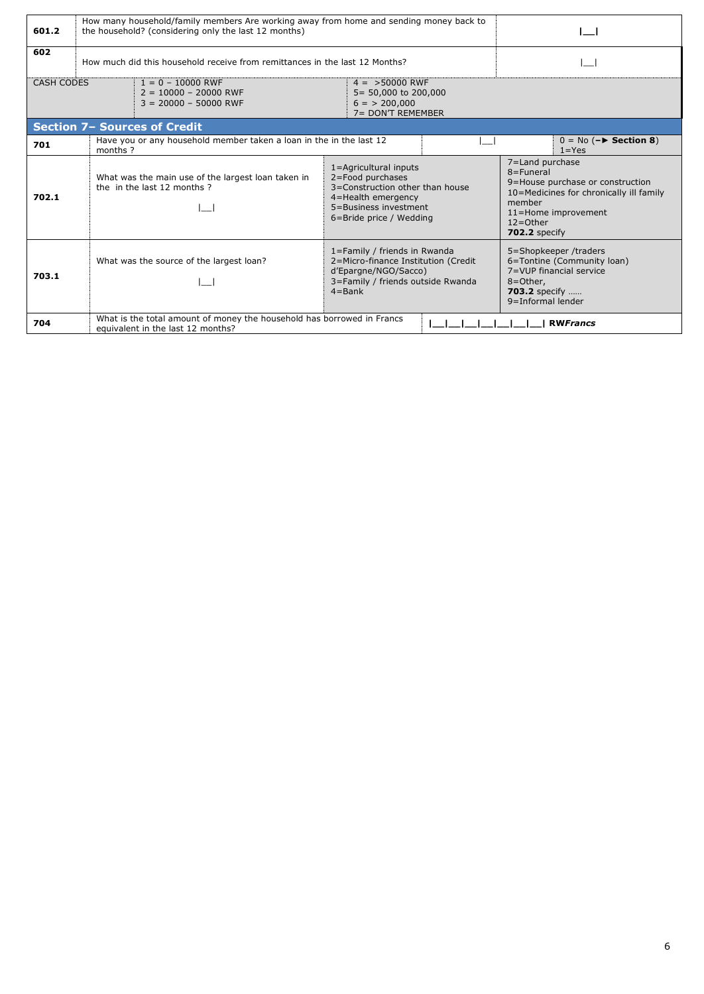| 601.2      | How many household/family members Are working away from home and sending money back to<br>the household? (considering only the last 12 months) |                                                                                                                                                        |  |                                                                                                                                                                               |  |  |  |  |  |  |
|------------|------------------------------------------------------------------------------------------------------------------------------------------------|--------------------------------------------------------------------------------------------------------------------------------------------------------|--|-------------------------------------------------------------------------------------------------------------------------------------------------------------------------------|--|--|--|--|--|--|
| 602        | How much did this household receive from remittances in the last 12 Months?                                                                    |                                                                                                                                                        |  |                                                                                                                                                                               |  |  |  |  |  |  |
| CASH CODES | $1 = 0 - 10000$ RWF<br>$2 = 10000 - 20000$ RWF<br>$3 = 20000 - 50000$ RWF                                                                      | $4 = 50000$ RWF<br>5= 50,000 to 200,000<br>$6 = 200,000$<br>7= DON'T REMEMBER                                                                          |  |                                                                                                                                                                               |  |  |  |  |  |  |
|            | <b>Section 7- Sources of Credit</b>                                                                                                            |                                                                                                                                                        |  |                                                                                                                                                                               |  |  |  |  |  |  |
| 701        | Have you or any household member taken a loan in the in the last 12<br>months?                                                                 |                                                                                                                                                        |  | $0 = No (-& Section 8)$<br>$1 = Yes$                                                                                                                                          |  |  |  |  |  |  |
| 702.1      | What was the main use of the largest loan taken in<br>the in the last 12 months ?                                                              | 1=Agricultural inputs<br>2=Food purchases<br>3=Construction other than house<br>4=Health emergency<br>5=Business investment<br>6=Bride price / Wedding |  | 7=Land purchase<br>8=Funeral<br>9=House purchase or construction<br>10=Medicines for chronically ill family<br>member<br>11=Home improvement<br>$12 =$ Other<br>702.2 specify |  |  |  |  |  |  |
| 703.1      | What was the source of the largest loan?                                                                                                       | 1=Family / friends in Rwanda<br>2=Micro-finance Institution (Credit<br>d'Epargne/NGO/Sacco)<br>3=Family / friends outside Rwanda<br>$4 = Bank$         |  | 5=Shopkeeper /traders<br>6=Tontine (Community loan)<br>7=VUP financial service<br>8=Other,<br><b>703.2</b> specify<br>9=Informal lender                                       |  |  |  |  |  |  |
| 704        | equivalent in the last 12 months?                                                                                                              | What is the total amount of money the household has borrowed in Francs                                                                                 |  |                                                                                                                                                                               |  |  |  |  |  |  |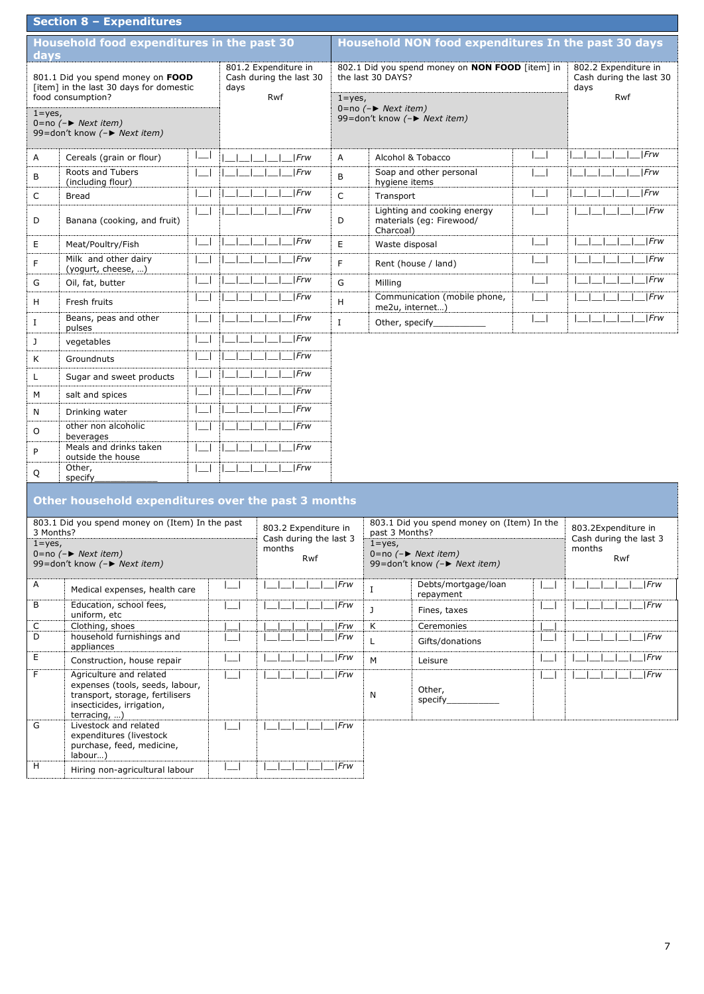|            | Section 8 - Expenditures                                                                                                                            |                          |                             |                                                |             |                                    |                                                                    |              |                                                                |
|------------|-----------------------------------------------------------------------------------------------------------------------------------------------------|--------------------------|-----------------------------|------------------------------------------------|-------------|------------------------------------|--------------------------------------------------------------------|--------------|----------------------------------------------------------------|
| days       | Household food expenditures in the past 30                                                                                                          |                          |                             |                                                |             |                                    | <b>Household NON food expenditures In the past 30 days</b>         |              |                                                                |
|            | 801.1 Did you spend money on FOOD<br>[item] in the last 30 days for domestic<br>food consumption?                                                   | days                     | 801.2 Expenditure in<br>Rwf | Cash during the last 30                        | $1 = yes$ , | the last 30 DAYS?                  | 802.1 Did you spend money on NON FOOD [item] in                    |              | 802.2 Expenditure in<br>Cash during the last 30<br>days<br>Rwf |
| $1 = yes,$ | 0=no $(-\triangleright$ Next item)<br>99=don't know (-▶ Next item)                                                                                  |                          |                             |                                                |             | 0=no $(-\triangleright$ Next item) | 99=don't know (-► Next item)                                       |              |                                                                |
| Α          | Cereals (grain or flour)                                                                                                                            |                          |                             | Frw                                            | Α           |                                    | Alcohol & Tobacco                                                  |              | Frw                                                            |
| В          | Roots and Tubers<br>(including flour)                                                                                                               |                          |                             | Frw                                            | B           | hygiene items                      | Soap and other personal                                            |              | Frw                                                            |
| C          | <b>Bread</b>                                                                                                                                        |                          |                             | Frw                                            | C           | Transport                          |                                                                    |              | Frw                                                            |
| D          | Banana (cooking, and fruit)                                                                                                                         |                          |                             | Frw                                            | D           | Charcoal)                          | Lighting and cooking energy<br>materials (eg: Firewood/            |              | Frw                                                            |
| Е          | Meat/Poultry/Fish                                                                                                                                   |                          |                             | Frw                                            | E           | Waste disposal                     |                                                                    |              | Frw                                                            |
| F          | Milk and other dairy<br>(yogurt, cheese, )                                                                                                          |                          |                             | Frw                                            | F           |                                    | Rent (house / land)                                                |              | Frw                                                            |
| G          | Oil, fat, butter                                                                                                                                    |                          |                             | Frw                                            | G           | Milling                            |                                                                    |              | $ $ <i>Frw</i>                                                 |
| H          | Fresh fruits                                                                                                                                        |                          |                             | Frw                                            | н           | me2u, internet)                    | Communication (mobile phone,                                       |              | Frw                                                            |
| Ι.         | Beans, peas and other<br>pulses                                                                                                                     |                          |                             | Frw                                            | Ι.          | Other, specify_                    |                                                                    |              | Frw                                                            |
| J          | vegetables                                                                                                                                          |                          |                             | Frw                                            |             |                                    |                                                                    |              |                                                                |
| Κ          | Groundnuts                                                                                                                                          |                          |                             | Frw                                            |             |                                    |                                                                    |              |                                                                |
| L          | Sugar and sweet products                                                                                                                            |                          |                             | Frw                                            |             |                                    |                                                                    |              |                                                                |
| м          | salt and spices                                                                                                                                     |                          |                             | Frw                                            |             |                                    |                                                                    |              |                                                                |
| N          | Drinking water                                                                                                                                      |                          |                             | Frw                                            |             |                                    |                                                                    |              |                                                                |
| O          | other non alcoholic<br>beverages                                                                                                                    |                          |                             | Frw                                            |             |                                    |                                                                    |              |                                                                |
| P          | Meals and drinks taken<br>outside the house                                                                                                         |                          |                             | Frw                                            |             |                                    |                                                                    |              |                                                                |
| Q          | Other,<br>specify                                                                                                                                   |                          |                             | Frw                                            |             |                                    |                                                                    |              |                                                                |
|            | Other household expenditures over the past 3 months                                                                                                 |                          |                             |                                                |             |                                    |                                                                    |              |                                                                |
|            | 803.1 Did you spend money on (Item) In the past                                                                                                     |                          |                             |                                                |             |                                    | 803.1 Did you spend money on (Item) In the                         |              |                                                                |
| 3 Months?  |                                                                                                                                                     |                          |                             | 803.2 Expenditure in<br>Cash during the last 3 |             | past 3 Months?                     |                                                                    |              | 803.2Expenditure in<br>Cash during the last 3                  |
| $1 = yes,$ | $0 = no (-)$ Next item)<br>99=don't know (-▶ Next item)                                                                                             |                          | months                      | Rwf                                            |             | $1 = yes$ ,                        | 0=no $(-\triangleright$ Next item)<br>99=don't know (-► Next item) |              | months<br>Rwf                                                  |
| Α          | Medical expenses, health care                                                                                                                       |                          |                             |                                                | Frw         | 1                                  | Debts/mortgage/loan<br>repayment                                   |              | Frw                                                            |
| В          | Education, school fees,<br>uniform, etc                                                                                                             |                          |                             |                                                | Frw         | J                                  | Fines, taxes                                                       | ادا          | Frw                                                            |
| С<br>D     | Clothing, shoes<br>household furnishings and                                                                                                        |                          |                             |                                                | Frw<br> Frw | Κ                                  | Ceremonies                                                         |              | Frw                                                            |
|            | appliances                                                                                                                                          |                          |                             |                                                |             | L                                  | Gifts/donations                                                    |              |                                                                |
| Е          | Construction, house repair                                                                                                                          |                          |                             |                                                | Frw         | М                                  | Leisure                                                            |              | Frw                                                            |
| F          | Agriculture and related<br>expenses (tools, seeds, labour,<br>transport, storage, fertilisers<br>insecticides, irrigation,<br>terracing, $\ldots$ ) |                          |                             |                                                | Frw         | N                                  | Other,<br>specify__________                                        | $\mathbf{I}$ | Frw                                                            |
| G          | Livestock and related<br>expenditures (livestock<br>purchase, feed, medicine,<br>labour)                                                            |                          |                             |                                                | Frw         |                                    |                                                                    |              |                                                                |
| H          | Hiring non-agricultural labour                                                                                                                      | $\overline{\phantom{a}}$ |                             |                                                | Frw         |                                    |                                                                    |              |                                                                |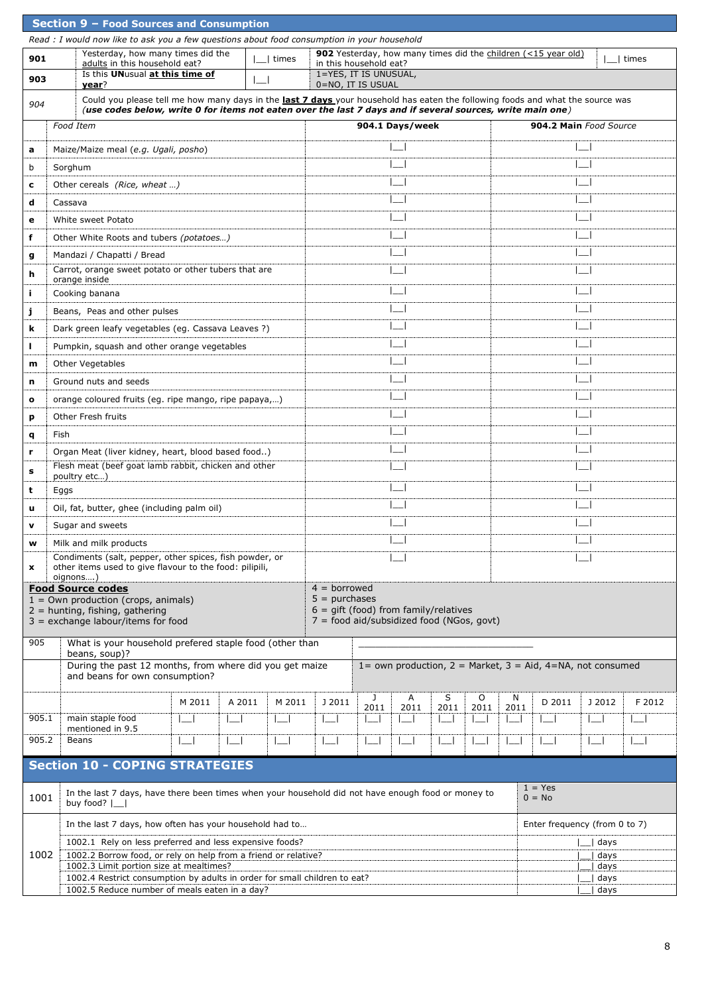|       |                  | Section 9 - Food Sources and Consumption                                                                                                                                                                                                     |        |                                       |        |                                                                                      |                |                          |                  |                             |                 |                                                                    |              |                          |
|-------|------------------|----------------------------------------------------------------------------------------------------------------------------------------------------------------------------------------------------------------------------------------------|--------|---------------------------------------|--------|--------------------------------------------------------------------------------------|----------------|--------------------------|------------------|-----------------------------|-----------------|--------------------------------------------------------------------|--------------|--------------------------|
|       |                  | Read : I would now like to ask you a few questions about food consumption in your household                                                                                                                                                  |        |                                       |        |                                                                                      |                |                          |                  |                             |                 |                                                                    |              |                          |
| 901   |                  | Yesterday, how many times did the<br>adults in this household eat?                                                                                                                                                                           |        | times                                 |        | in this household eat?                                                               |                |                          |                  |                             |                 | 902 Yesterday, how many times did the children (<15 year old)      |              | times                    |
| 903   |                  | Is this UNusual at this time of<br>year?                                                                                                                                                                                                     |        | ∟⊣                                    |        | 1=YES, IT IS UNUSUAL,<br>0=NO, IT IS USUAL                                           |                |                          |                  |                             |                 |                                                                    |              |                          |
| 904   |                  | Could you please tell me how many days in the last 7 days your household has eaten the following foods and what the source was<br>(use codes below, write 0 for items not eaten over the last 7 days and if several sources, write main one) |        |                                       |        |                                                                                      |                |                          |                  |                             |                 |                                                                    |              |                          |
|       | <b>Food Item</b> |                                                                                                                                                                                                                                              |        |                                       |        |                                                                                      |                | 904.1 Days/week          |                  |                             |                 | 904.2 Main Food Source                                             |              |                          |
| a     |                  | Maize/Maize meal (e.g. Ugali, posho)                                                                                                                                                                                                         |        |                                       |        |                                                                                      |                |                          |                  |                             |                 |                                                                    |              |                          |
| b     | Sorghum          |                                                                                                                                                                                                                                              |        |                                       |        |                                                                                      |                |                          |                  |                             |                 |                                                                    |              |                          |
| c     |                  | Other cereals (Rice, wheat )                                                                                                                                                                                                                 |        |                                       |        |                                                                                      |                |                          |                  |                             |                 |                                                                    |              |                          |
| d     | Cassava          |                                                                                                                                                                                                                                              |        |                                       |        |                                                                                      |                |                          |                  |                             |                 |                                                                    |              |                          |
| е     |                  | White sweet Potato                                                                                                                                                                                                                           |        |                                       |        |                                                                                      |                |                          |                  |                             |                 |                                                                    |              |                          |
| f     |                  | Other White Roots and tubers (potatoes)                                                                                                                                                                                                      |        |                                       |        |                                                                                      |                |                          |                  |                             |                 |                                                                    |              |                          |
| g     |                  | Mandazi / Chapatti / Bread                                                                                                                                                                                                                   |        |                                       |        |                                                                                      |                |                          |                  |                             |                 |                                                                    |              |                          |
| h     |                  | Carrot, orange sweet potato or other tubers that are<br>orange inside                                                                                                                                                                        |        |                                       |        |                                                                                      |                |                          |                  |                             |                 |                                                                    |              |                          |
| j.    |                  | Cooking banana                                                                                                                                                                                                                               |        |                                       |        |                                                                                      |                |                          |                  |                             |                 |                                                                    |              |                          |
| j     |                  | Beans, Peas and other pulses                                                                                                                                                                                                                 |        |                                       |        |                                                                                      |                |                          |                  |                             |                 |                                                                    |              |                          |
| k     |                  | Dark green leafy vegetables (eg. Cassava Leaves ?)                                                                                                                                                                                           |        |                                       |        |                                                                                      |                |                          |                  |                             |                 |                                                                    |              |                          |
| г     |                  | Pumpkin, squash and other orange vegetables                                                                                                                                                                                                  |        |                                       |        |                                                                                      |                |                          |                  |                             |                 |                                                                    |              |                          |
| m     |                  | <b>Other Vegetables</b>                                                                                                                                                                                                                      |        |                                       |        |                                                                                      |                |                          |                  |                             |                 |                                                                    |              |                          |
| n     |                  | Ground nuts and seeds                                                                                                                                                                                                                        |        |                                       |        |                                                                                      |                |                          |                  |                             |                 |                                                                    |              |                          |
| o     |                  | orange coloured fruits (eg. ripe mango, ripe papaya,)                                                                                                                                                                                        |        |                                       |        |                                                                                      |                |                          |                  |                             |                 |                                                                    |              |                          |
| р     |                  | Other Fresh fruits                                                                                                                                                                                                                           |        |                                       |        |                                                                                      |                |                          |                  |                             |                 |                                                                    |              |                          |
| q     | Fish             |                                                                                                                                                                                                                                              |        |                                       |        |                                                                                      |                |                          |                  |                             |                 |                                                                    |              |                          |
| r     |                  | Organ Meat (liver kidney, heart, blood based food)                                                                                                                                                                                           |        |                                       |        |                                                                                      |                |                          |                  |                             |                 |                                                                    |              |                          |
| s     |                  | Flesh meat (beef goat lamb rabbit, chicken and other<br>poultry etc)                                                                                                                                                                         |        |                                       |        |                                                                                      |                |                          |                  |                             |                 |                                                                    |              |                          |
| t     | Eggs             |                                                                                                                                                                                                                                              |        |                                       |        |                                                                                      |                |                          |                  |                             |                 |                                                                    |              |                          |
| u     |                  | Oil, fat, butter, ghee (including palm oil)                                                                                                                                                                                                  |        |                                       |        |                                                                                      |                |                          |                  |                             |                 |                                                                    |              |                          |
| v     |                  | Sugar and sweets                                                                                                                                                                                                                             |        |                                       |        |                                                                                      |                |                          |                  |                             |                 |                                                                    |              |                          |
| w     |                  | Milk and milk products                                                                                                                                                                                                                       |        |                                       |        |                                                                                      |                |                          |                  |                             |                 |                                                                    |              |                          |
| x     | oignons)         | Condiments (salt, pepper, other spices, fish powder, or<br>other items used to give flavour to the food: pilipili,                                                                                                                           |        |                                       |        |                                                                                      |                |                          |                  |                             |                 |                                                                    |              |                          |
|       |                  | <b>Food Source codes</b><br>$1 =$ Own production (crops, animals)                                                                                                                                                                            |        |                                       |        | $4 =$ borrowed<br>$5 = 9$ purchases                                                  |                |                          |                  |                             |                 |                                                                    |              |                          |
|       |                  | $2 =$ hunting, fishing, gathering                                                                                                                                                                                                            |        |                                       |        | $6 =$ qift (food) from family/relatives<br>7 = food aid/subsidized food (NGos, govt) |                |                          |                  |                             |                 |                                                                    |              |                          |
|       |                  | $3 =$ exchange labour/items for food                                                                                                                                                                                                         |        |                                       |        |                                                                                      |                |                          |                  |                             |                 |                                                                    |              |                          |
| 905   |                  | What is your household prefered staple food (other than<br>beans, soup)?                                                                                                                                                                     |        |                                       |        |                                                                                      |                |                          |                  |                             |                 |                                                                    |              |                          |
|       |                  | During the past 12 months, from where did you get maize<br>and beans for own consumption?                                                                                                                                                    |        |                                       |        |                                                                                      |                |                          |                  |                             |                 | 1= own production, $2 =$ Market, $3 =$ Aid, $4 =$ NA, not consumed |              |                          |
|       |                  |                                                                                                                                                                                                                                              | M 2011 | A 2011                                | M 2011 | J 2011                                                                               | J              | Α                        | S                | O                           | N               | D 2011                                                             | J 2012       | F 2012                   |
| 905.1 |                  | main staple food<br>mentioned in 9.5                                                                                                                                                                                                         |        | $\overline{\phantom{a}}$<br>$\lfloor$ |        | $\lfloor -1 \rfloor$                                                                 | 2011<br>$\Box$ | 2011<br>$\Box$           | 2011<br>$\sqcup$ | 2011<br>$\lfloor - \rfloor$ | 2011<br>$\perp$ | $\Box$                                                             | $\Box$       | $\overline{\phantom{a}}$ |
| 905.2 |                  | Beans                                                                                                                                                                                                                                        |        | $\Box$                                |        | $\lfloor -1 \rfloor$                                                                 | ∟              | $\overline{\phantom{a}}$ |                  |                             | $\vert \_$      | $\Box$                                                             | $\Box$       | $\Box$                   |
|       |                  | <b>Section 10 - COPING STRATEGIES</b>                                                                                                                                                                                                        |        |                                       |        |                                                                                      |                |                          |                  |                             |                 |                                                                    |              |                          |
| 1001  |                  | In the last 7 days, have there been times when your household did not have enough food or money to                                                                                                                                           |        |                                       |        |                                                                                      |                |                          |                  |                             |                 | $1 = Yes$<br>$0 = No$                                              |              |                          |
|       |                  | buy food? $ \_$<br>In the last 7 days, how often has your household had to                                                                                                                                                                   |        |                                       |        |                                                                                      |                |                          |                  |                             |                 | Enter frequency (from 0 to 7)                                      |              |                          |
|       |                  | 1002.1 Rely on less preferred and less expensive foods?                                                                                                                                                                                      |        |                                       |        |                                                                                      |                |                          |                  |                             |                 |                                                                    | __  days     |                          |
| 1002  |                  | 1002.2 Borrow food, or rely on help from a friend or relative?                                                                                                                                                                               |        |                                       |        |                                                                                      |                |                          |                  |                             | days            |                                                                    |              |                          |
|       |                  | 1002.3 Limit portion size at mealtimes?<br>1002.4 Restrict consumption by adults in order for small children to eat?                                                                                                                         |        |                                       |        |                                                                                      |                |                          |                  |                             |                 |                                                                    | days<br>days |                          |
|       |                  | 1002.5 Reduce number of meals eaten in a day?                                                                                                                                                                                                |        |                                       |        |                                                                                      |                |                          |                  |                             |                 |                                                                    | days         |                          |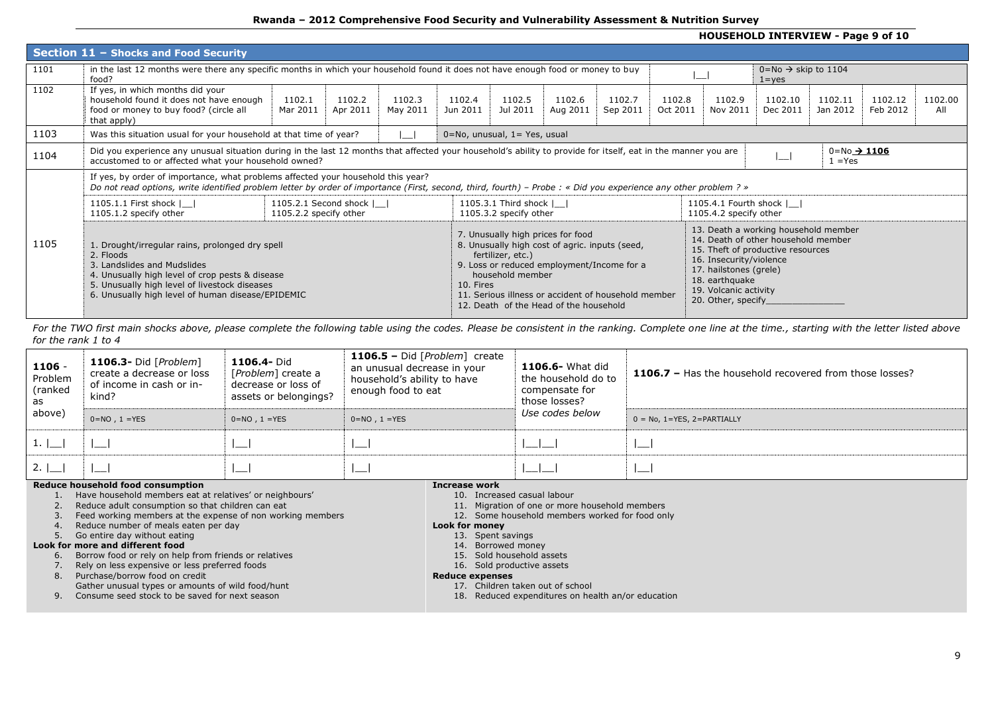## **Rwanda – 2012 Comprehensive Food Security and Vulnerability Assessment & Nutrition Survey**

## **HOUSEHOLD INTERVIEW - Page 9 of 10**

|      | Section 11 - Shocks and Food Security                                                                                                                                                                                                                |                                                     |                    |                    |                    |                                                                            |                                                                                                                                                                                               |                    |                    |                                                                                                                    |                                                                                                                  |                                        |                     |                |
|------|------------------------------------------------------------------------------------------------------------------------------------------------------------------------------------------------------------------------------------------------------|-----------------------------------------------------|--------------------|--------------------|--------------------|----------------------------------------------------------------------------|-----------------------------------------------------------------------------------------------------------------------------------------------------------------------------------------------|--------------------|--------------------|--------------------------------------------------------------------------------------------------------------------|------------------------------------------------------------------------------------------------------------------|----------------------------------------|---------------------|----------------|
| 1101 | in the last 12 months were there any specific months in which your household found it does not have enough food or money to buy<br>food?                                                                                                             |                                                     |                    |                    |                    |                                                                            |                                                                                                                                                                                               |                    |                    |                                                                                                                    | $0 = No \rightarrow$ skip to 1104<br>$1 = yes$                                                                   |                                        |                     |                |
| 1102 | If yes, in which months did your<br>household found it does not have enough<br>food or money to buy food? (circle all<br>that apply)                                                                                                                 | 1102.1<br>Mar 2011                                  | 1102.2<br>Apr 2011 | 1102.3<br>May 2011 | 1102.4<br>Jun 2011 | 1102.5<br>Jul 2011                                                         | 1102.6<br>Aug 2011                                                                                                                                                                            | 1102.7<br>Sep 2011 | 1102.8<br>Oct 2011 | 1102.9<br>Nov 2011                                                                                                 | 1102.10<br>Dec 2011                                                                                              | 1102.11<br>Jan 2012                    | 1102.12<br>Feb 2012 | 1102.00<br>All |
| 1103 | Was this situation usual for your household at that time of year?                                                                                                                                                                                    |                                                     |                    |                    |                    | $0 = No$ , unusual, $1 = Yes$ , usual                                      |                                                                                                                                                                                               |                    |                    |                                                                                                                    |                                                                                                                  |                                        |                     |                |
| 1104 | Did you experience any unusual situation during in the last 12 months that affected your household's ability to provide for itself, eat in the manner you are<br>accustomed to or affected what your household owned?                                |                                                     |                    |                    |                    |                                                                            |                                                                                                                                                                                               |                    |                    |                                                                                                                    | ا — ا                                                                                                            | $0 = No \rightarrow 1106$<br>$1 = Yes$ |                     |                |
|      | If yes, by order of importance, what problems affected your household this year?<br>Do not read options, write identified problem letter by order of importance (First, second, third, fourth) – Probe: « Did you experience any other problem? »    |                                                     |                    |                    |                    |                                                                            |                                                                                                                                                                                               |                    |                    |                                                                                                                    |                                                                                                                  |                                        |                     |                |
|      | 1105.1.1 First shock    <br>1105.1.2 specify other                                                                                                                                                                                                   | 1105.2.1 Second shock    <br>1105.2.2 specify other |                    |                    |                    | 1105.3.1 Third shock    <br>1105.3.2 specify other                         |                                                                                                                                                                                               |                    |                    | 1105.4.1 Fourth shock    <br>1105.4.2 specify other                                                                |                                                                                                                  |                                        |                     |                |
| 1105 | 1. Drought/irregular rains, prolonged dry spell<br>2. Floods<br>3. Landslides and Mudslides<br>4. Unusually high level of crop pests & disease<br>5. Unusually high level of livestock diseases<br>6. Unusually high level of human disease/EPIDEMIC |                                                     |                    |                    | 10. Fires          | 7. Unusually high prices for food<br>fertilizer, etc.)<br>household member | 8. Unusually high cost of agric. inputs (seed,<br>9. Loss or reduced employment/Income for a<br>11. Serious illness or accident of household member<br>12. Death of the Head of the household |                    |                    | 16. Insecurity/violence<br>17. hailstones (grele)<br>18. earthquake<br>19. Volcanic activity<br>20. Other, specify | 13. Death a working household member<br>14. Death of other household member<br>15. Theft of productive resources |                                        |                     |                |

For the TWO first main shocks above, please complete the following table using the codes. Please be consistent in the ranking. Complete one line at the time., starting with the letter listed above *for the rank 1 to 4*

| $1106 -$<br>Problem<br>(ranked<br>as | 1106.3- Did [ $Problem$ ]<br>create a decrease or loss<br>of income in cash or in-<br>kind? | 1106.4- Did<br>[Problem] create a<br>decrease or loss of<br>assets or belongings? | 1106.5 - Did [Problem] create<br>an unusual decrease in your<br>household's ability to have<br>enough food to eat | <b>1106.6-</b> What did<br>the household do to<br>compensate for<br>those losses? | 1106.7 - Has the household recovered from those losses? |
|--------------------------------------|---------------------------------------------------------------------------------------------|-----------------------------------------------------------------------------------|-------------------------------------------------------------------------------------------------------------------|-----------------------------------------------------------------------------------|---------------------------------------------------------|
| above)                               | $0=NO$ , $1=YES$                                                                            | $0=NO$ , $1=YES$                                                                  | $0=NO$ , $1=YES$                                                                                                  | Use codes below                                                                   | $0 = No$ , $1 = YES$ , $2 = PARTIALLY$                  |
| 1.1                                  |                                                                                             | $\sim$                                                                            | I__                                                                                                               |                                                                                   | $-$                                                     |
| 2.1                                  |                                                                                             |                                                                                   |                                                                                                                   |                                                                                   |                                                         |

#### **Reduce household food consumption**

- 1. Have household members eat at relatives' or neighbours'
- 2. Reduce adult consumption so that children can eat
- 3. Feed working members at the expense of non working members
- 4. Reduce number of meals eaten per day
- 5. Go entire day without eating

### **Look for more and different food**

- 6. Borrow food or rely on help from friends or relatives
- 7. Rely on less expensive or less preferred foods
- 8. Purchase/borrow food on credit
- Gather unusual types or amounts of wild food/hunt
- 9. Consume seed stock to be saved for next season

#### **Increase work**

- 10. Increased casual labour
- 11. Migration of one or more household members
- 12. Some household members worked for food only

# **Look for money**

- 13. Spent savings
- 14. Borrowed money
- 15. Sold household assets
- 16. Sold productive assets

#### **Reduce expenses**

- 17. Children taken out of school
- 18. Reduced expenditures on health an/or education